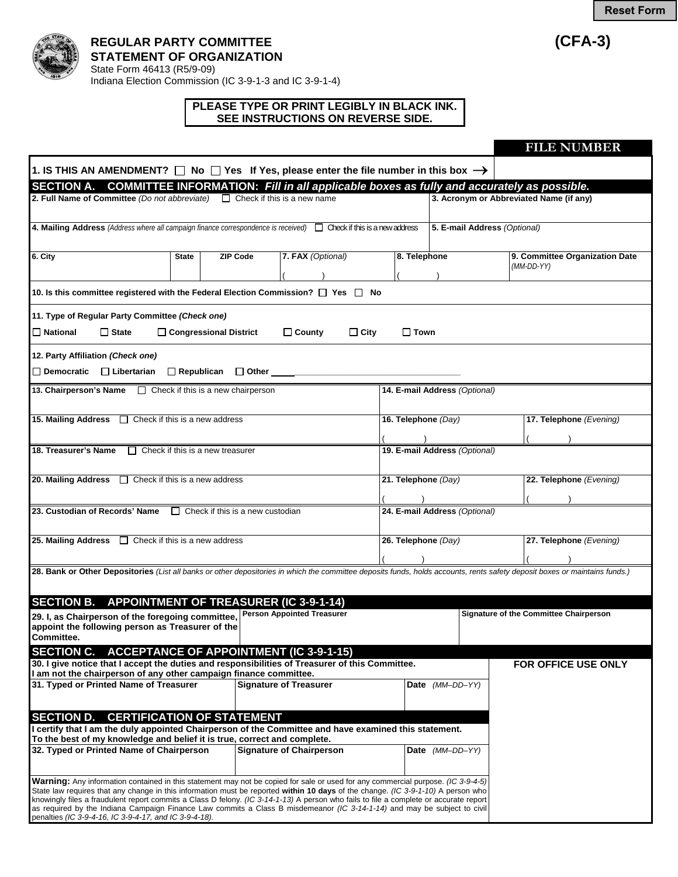**Reset Form**





## **REGULAR PARTY COMMITTEE (CFA-3) STATEMENT OF ORGANIZATION** State Form 46413 (R5/9-09)

Indiana Election Commission (IC 3-9-1-3 and IC 3-9-1-4)

## **PLEASE TYPE OR PRINT LEGIBLY IN BLACK INK. SEE INSTRUCTIONS ON REVERSE SIDE.**

|                                                                                                                                                                                                                                                                                                                                                                                                                                                                                                                                                                                                     |                                         |                                                                                    |                            |                                         | <b>FILE NUMBER</b>                                           |  |
|-----------------------------------------------------------------------------------------------------------------------------------------------------------------------------------------------------------------------------------------------------------------------------------------------------------------------------------------------------------------------------------------------------------------------------------------------------------------------------------------------------------------------------------------------------------------------------------------------------|-----------------------------------------|------------------------------------------------------------------------------------|----------------------------|-----------------------------------------|--------------------------------------------------------------|--|
| 1. IS THIS AN AMENDMENT? $\Box$ No $\Box$ Yes If Yes, please enter the file number in this box $\rightarrow$                                                                                                                                                                                                                                                                                                                                                                                                                                                                                        |                                         |                                                                                    |                            |                                         |                                                              |  |
| <b>SECTION A.</b>                                                                                                                                                                                                                                                                                                                                                                                                                                                                                                                                                                                   |                                         |                                                                                    |                            |                                         |                                                              |  |
| COMMITTEE INFORMATION: Fill in all applicable boxes as fully and accurately as possible.<br>2. Full Name of Committee (Do not abbreviate) $\Box$ Check if this is a new name                                                                                                                                                                                                                                                                                                                                                                                                                        |                                         |                                                                                    |                            | 3. Acronym or Abbreviated Name (if any) |                                                              |  |
| 4. Mailing Address (Address where all campaign finance correspondence is received) $\Box$ Check if this is a new address                                                                                                                                                                                                                                                                                                                                                                                                                                                                            |                                         |                                                                                    |                            | 5. E-mail Address (Optional)            |                                                              |  |
| 6. City                                                                                                                                                                                                                                                                                                                                                                                                                                                                                                                                                                                             | <b>ZIP Code</b><br>State                | 7. FAX (Optional)                                                                  | 8. Telephone               |                                         | 9. Committee Organization Date<br>$(MM\text{-}DD\text{-}YY)$ |  |
| 10. Is this committee registered with the Federal Election Commission? $\Box$ Yes $\Box$ No                                                                                                                                                                                                                                                                                                                                                                                                                                                                                                         |                                         |                                                                                    |                            |                                         |                                                              |  |
| 11. Type of Regular Party Committee (Check one)                                                                                                                                                                                                                                                                                                                                                                                                                                                                                                                                                     |                                         |                                                                                    |                            |                                         |                                                              |  |
| $\Box$ National<br>$\Box$ State                                                                                                                                                                                                                                                                                                                                                                                                                                                                                                                                                                     | $\Box$ Congressional District           | $\Box$ County                                                                      | $\Box$ City<br>$\Box$ Town |                                         |                                                              |  |
| 12. Party Affiliation (Check one)                                                                                                                                                                                                                                                                                                                                                                                                                                                                                                                                                                   |                                         |                                                                                    |                            |                                         |                                                              |  |
| $\Box$ Democratic $\Box$ Libertarian                                                                                                                                                                                                                                                                                                                                                                                                                                                                                                                                                                | $\Box$ Republican $\Box$ Other          |                                                                                    |                            |                                         |                                                              |  |
| 13. Chairperson's Name<br><u>Check</u> if this is a new chairperson                                                                                                                                                                                                                                                                                                                                                                                                                                                                                                                                 |                                         |                                                                                    |                            | 14. E-mail Address (Optional)           |                                                              |  |
| 15. Mailing Address $\Box$ Check if this is a new address                                                                                                                                                                                                                                                                                                                                                                                                                                                                                                                                           |                                         |                                                                                    | 16. Telephone (Day)        |                                         | 17. Telephone (Evening)                                      |  |
|                                                                                                                                                                                                                                                                                                                                                                                                                                                                                                                                                                                                     |                                         |                                                                                    |                            |                                         |                                                              |  |
| 18. Treasurer's Name                                                                                                                                                                                                                                                                                                                                                                                                                                                                                                                                                                                | $\Box$ Check if this is a new treasurer |                                                                                    |                            | 19. E-mail Address (Optional)           |                                                              |  |
| 20. Mailing Address $\Box$ Check if this is a new address                                                                                                                                                                                                                                                                                                                                                                                                                                                                                                                                           |                                         |                                                                                    | 21. Telephone (Day)        |                                         | 22. Telephone (Evening)                                      |  |
|                                                                                                                                                                                                                                                                                                                                                                                                                                                                                                                                                                                                     |                                         |                                                                                    |                            |                                         |                                                              |  |
| 23. Custodian of Records' Name                                                                                                                                                                                                                                                                                                                                                                                                                                                                                                                                                                      | $\Box$ Check if this is a new custodian | 24. E-mail Address (Optional)                                                      |                            |                                         |                                                              |  |
| 25. Mailing Address<br>$\Box$ Check if this is a new address                                                                                                                                                                                                                                                                                                                                                                                                                                                                                                                                        |                                         |                                                                                    | 26. Telephone (Day)        |                                         | 27. Telephone (Evening)                                      |  |
|                                                                                                                                                                                                                                                                                                                                                                                                                                                                                                                                                                                                     |                                         |                                                                                    |                            |                                         |                                                              |  |
| 28. Bank or Other Depositories (List all banks or other depositories in which the committee deposits funds, holds accounts, rents safety deposit boxes or maintains funds.)<br><b>SECTION B.</b><br>29. I, as Chairperson of the foregoing committee,<br>appoint the following person as Treasurer of the                                                                                                                                                                                                                                                                                           |                                         | <b>APPOINTMENT OF TREASURER (IC 3-9-1-14)</b><br><b>Person Appointed Treasurer</b> |                            |                                         | <b>Signature of the Committee Chairperson</b>                |  |
| <b>Committee.</b>                                                                                                                                                                                                                                                                                                                                                                                                                                                                                                                                                                                   |                                         |                                                                                    |                            |                                         |                                                              |  |
| SECTION C. ACCEPTANCE OF APPOINTMENT (IC 3-9-1-15)<br>30. I give notice that I accept the duties and responsibilities of Treasurer of this Committee.<br>I am not the chairperson of any other campaign finance committee.                                                                                                                                                                                                                                                                                                                                                                          |                                         |                                                                                    |                            |                                         | FOR OFFICE USE ONLY                                          |  |
| 31. Typed or Printed Name of Treasurer                                                                                                                                                                                                                                                                                                                                                                                                                                                                                                                                                              |                                         | <b>Signature of Treasurer</b>                                                      |                            | Date (MM-DD-YY)                         |                                                              |  |
| SECTION D. CERTIFICATION OF STATEMENT<br>I certify that I am the duly appointed Chairperson of the Committee and have examined this statement.<br>To the best of my knowledge and belief it is true, correct and complete.                                                                                                                                                                                                                                                                                                                                                                          |                                         |                                                                                    |                            |                                         |                                                              |  |
| 32. Typed or Printed Name of Chairperson                                                                                                                                                                                                                                                                                                                                                                                                                                                                                                                                                            |                                         | <b>Signature of Chairperson</b>                                                    |                            | Date (MM-DD-YY)                         |                                                              |  |
| Warning: Any information contained in this statement may not be copied for sale or used for any commercial purpose. (IC 3-9-4-5)<br>State law requires that any change in this information must be reported within 10 days of the change. (IC 3-9-1-10) A person who<br>knowingly files a fraudulent report commits a Class D felony. (IC 3-14-1-13) A person who fails to file a complete or accurate report<br>as required by the Indiana Campaign Finance Law commits a Class B misdemeanor (IC 3-14-1-14) and may be subject to civil<br>penalties (IC 3-9-4-16, IC 3-9-4-17, and IC 3-9-4-18). |                                         |                                                                                    |                            |                                         |                                                              |  |